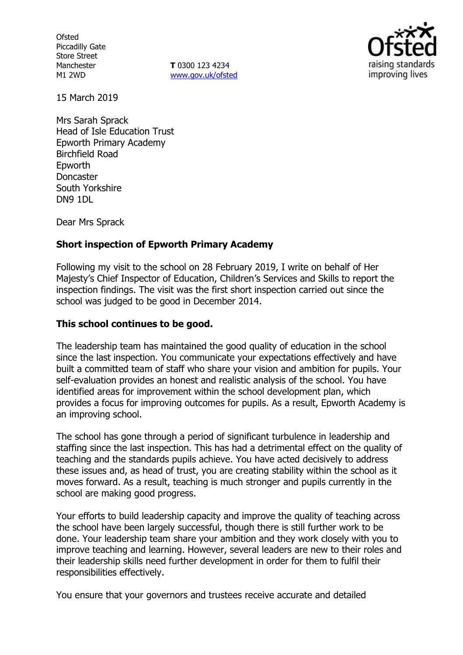**Ofsted** Piccadilly Gate Store Street Manchester M1 2WD

**T** 0300 123 4234 www.gov.uk/ofsted



15 March 2019

Mrs Sarah Sprack Head of Isle Education Trust Epworth Primary Academy Birchfield Road Epworth Doncaster South Yorkshire DN9 1DL

Dear Mrs Sprack

#### **Short inspection of Epworth Primary Academy**

Following my visit to the school on 28 February 2019, I write on behalf of Her Majesty's Chief Inspector of Education, Children's Services and Skills to report the inspection findings. The visit was the first short inspection carried out since the school was judged to be good in December 2014.

#### **This school continues to be good.**

The leadership team has maintained the good quality of education in the school since the last inspection. You communicate your expectations effectively and have built a committed team of staff who share your vision and ambition for pupils. Your self-evaluation provides an honest and realistic analysis of the school. You have identified areas for improvement within the school development plan, which provides a focus for improving outcomes for pupils. As a result, Epworth Academy is an improving school.

The school has gone through a period of significant turbulence in leadership and staffing since the last inspection. This has had a detrimental effect on the quality of teaching and the standards pupils achieve. You have acted decisively to address these issues and, as head of trust, you are creating stability within the school as it moves forward. As a result, teaching is much stronger and pupils currently in the school are making good progress.

Your efforts to build leadership capacity and improve the quality of teaching across the school have been largely successful, though there is still further work to be done. Your leadership team share your ambition and they work closely with you to improve teaching and learning. However, several leaders are new to their roles and their leadership skills need further development in order for them to fulfil their responsibilities effectively.

You ensure that your governors and trustees receive accurate and detailed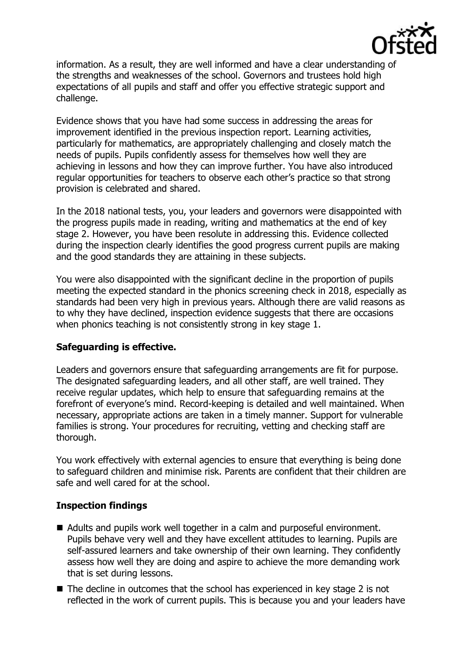

information. As a result, they are well informed and have a clear understanding of the strengths and weaknesses of the school. Governors and trustees hold high expectations of all pupils and staff and offer you effective strategic support and challenge.

Evidence shows that you have had some success in addressing the areas for improvement identified in the previous inspection report. Learning activities, particularly for mathematics, are appropriately challenging and closely match the needs of pupils. Pupils confidently assess for themselves how well they are achieving in lessons and how they can improve further. You have also introduced regular opportunities for teachers to observe each other's practice so that strong provision is celebrated and shared.

In the 2018 national tests, you, your leaders and governors were disappointed with the progress pupils made in reading, writing and mathematics at the end of key stage 2. However, you have been resolute in addressing this. Evidence collected during the inspection clearly identifies the good progress current pupils are making and the good standards they are attaining in these subjects.

You were also disappointed with the significant decline in the proportion of pupils meeting the expected standard in the phonics screening check in 2018, especially as standards had been very high in previous years. Although there are valid reasons as to why they have declined, inspection evidence suggests that there are occasions when phonics teaching is not consistently strong in key stage 1.

### **Safeguarding is effective.**

Leaders and governors ensure that safeguarding arrangements are fit for purpose. The designated safeguarding leaders, and all other staff, are well trained. They receive regular updates, which help to ensure that safeguarding remains at the forefront of everyone's mind. Record-keeping is detailed and well maintained. When necessary, appropriate actions are taken in a timely manner. Support for vulnerable families is strong. Your procedures for recruiting, vetting and checking staff are thorough.

You work effectively with external agencies to ensure that everything is being done to safeguard children and minimise risk. Parents are confident that their children are safe and well cared for at the school.

# **Inspection findings**

- Adults and pupils work well together in a calm and purposeful environment. Pupils behave very well and they have excellent attitudes to learning. Pupils are self-assured learners and take ownership of their own learning. They confidently assess how well they are doing and aspire to achieve the more demanding work that is set during lessons.
- The decline in outcomes that the school has experienced in key stage 2 is not reflected in the work of current pupils. This is because you and your leaders have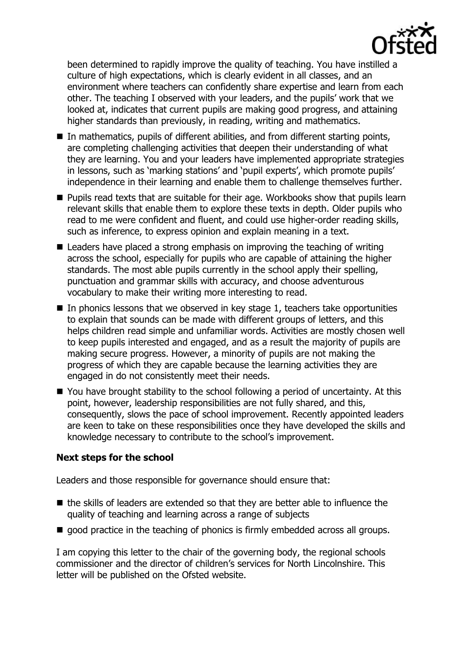

been determined to rapidly improve the quality of teaching. You have instilled a culture of high expectations, which is clearly evident in all classes, and an environment where teachers can confidently share expertise and learn from each other. The teaching I observed with your leaders, and the pupils' work that we looked at, indicates that current pupils are making good progress, and attaining higher standards than previously, in reading, writing and mathematics.

- $\blacksquare$  In mathematics, pupils of different abilities, and from different starting points, are completing challenging activities that deepen their understanding of what they are learning. You and your leaders have implemented appropriate strategies in lessons, such as 'marking stations' and 'pupil experts', which promote pupils' independence in their learning and enable them to challenge themselves further.
- **Pupils read texts that are suitable for their age. Workbooks show that pupils learn** relevant skills that enable them to explore these texts in depth. Older pupils who read to me were confident and fluent, and could use higher-order reading skills, such as inference, to express opinion and explain meaning in a text.
- Leaders have placed a strong emphasis on improving the teaching of writing across the school, especially for pupils who are capable of attaining the higher standards. The most able pupils currently in the school apply their spelling, punctuation and grammar skills with accuracy, and choose adventurous vocabulary to make their writing more interesting to read.
- $\blacksquare$  In phonics lessons that we observed in key stage 1, teachers take opportunities to explain that sounds can be made with different groups of letters, and this helps children read simple and unfamiliar words. Activities are mostly chosen well to keep pupils interested and engaged, and as a result the majority of pupils are making secure progress. However, a minority of pupils are not making the progress of which they are capable because the learning activities they are engaged in do not consistently meet their needs.
- You have brought stability to the school following a period of uncertainty. At this point, however, leadership responsibilities are not fully shared, and this, consequently, slows the pace of school improvement. Recently appointed leaders are keen to take on these responsibilities once they have developed the skills and knowledge necessary to contribute to the school's improvement.

# **Next steps for the school**

Leaders and those responsible for governance should ensure that:

- $\blacksquare$  the skills of leaders are extended so that they are better able to influence the quality of teaching and learning across a range of subjects
- qood practice in the teaching of phonics is firmly embedded across all groups.

I am copying this letter to the chair of the governing body, the regional schools commissioner and the director of children's services for North Lincolnshire. This letter will be published on the Ofsted website.